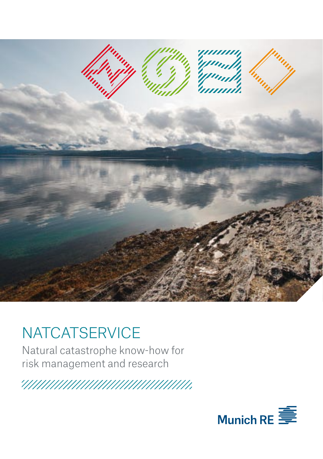

# **NATCATSERVICE**

Natural catastrophe know-how for risk management and research

ЧШШШШШШШШШШ

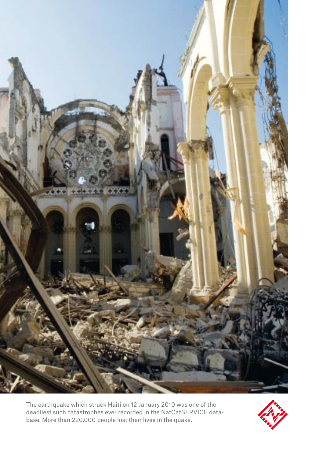

The earthquake which struck Haiti on 12 January 2010 was one of the deadliest such catastrophes ever recorded in the NatCatSERVICE database. More than 220,000 people lost their lives in the quake.

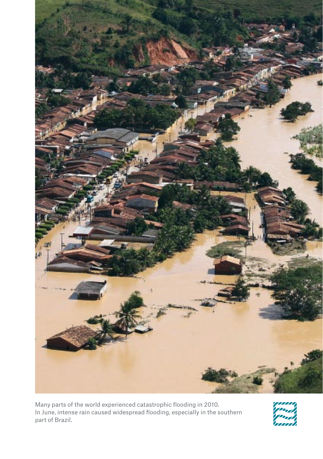

Many parts of the world experienced catastrophic flooding in 2010. In June, intense rain caused widespread flooding, especially in the southern part of Brazil.

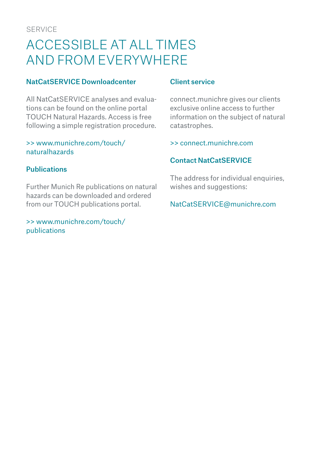Service

# ACCESSIBLE AT ALL TIMES AND FROM EVERYWHERE

# NatCatSERVICE Downloadcenter

All NatCatSERVICE analyses and evaluations can be found on the online portal TOUCH Natural Hazards. Access is free following a simple registration procedure.

#### >> www.munichre.com/touch/ naturalhazards

# **Publications**

Further Munich Re publications on natural hazards can be downloaded and ordered from our TOUCH publications portal.

>> www.munichre.com/touch/ publications

# Client service

connect.munichre gives our clients exclusive online access to further information on the subject of natural catastrophes.

## >> connect.munichre.com

# Contact NatCatSERVICE

The address for individual enquiries. wishes and suggestions:

# NatCatSERVICE@munichre.com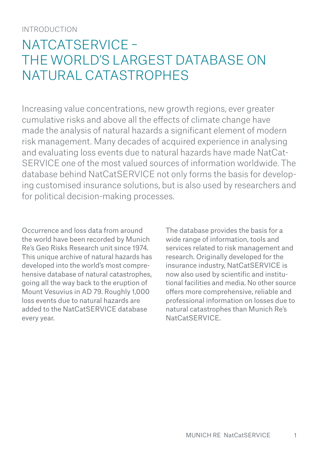# NATCATSERVICE -THE WORLD'S LARGEST DATABASE ON natural catastrophes

Increasing value concentrations, new growth regions, ever greater cumulative risks and above all the effects of climate change have made the analysis of natural hazards a significant element of modern risk management. Many decades of acquired experience in analysing and evaluating loss events due to natural hazards have made NatCat-SERVICE one of the most valued sources of information worldwide. The database behind NatCatSERVICE not only forms the basis for developing customised insurance solutions, but is also used by researchers and for political decision-making processes.

Occurrence and loss data from around the world have been recorded by Munich Re's Geo Risks Research unit since 1974. This unique archive of natural hazards has developed into the world's most comprehensive database of natural catastrophes, going all the way back to the eruption of Mount Vesuvius in AD 79. Roughly 1,000 loss events due to natural hazards are added to the NatCatSERVICE database every year.

The database provides the basis for a wide range of information, tools and services related to risk management and research. Originally developed for the insurance industry, NatCatSERVICE is now also used by scientific and institutional facilities and media. No other source offers more comprehensive, reliable and professional information on losses due to natural catastrophes than Munich Re's NatCatSERVICE.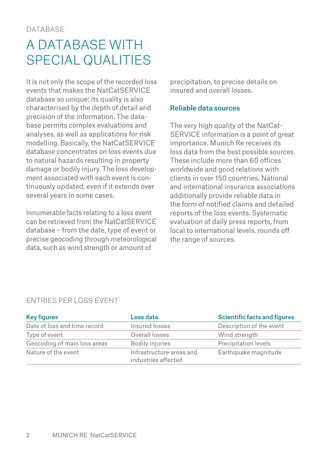# A DATABASE WITH special qualities

It is not only the scope of the recorded loss events that makes the NatCatSERVICE database so unique: its quality is also characterised by the depth of detail and precision of the information. The database permits complex evaluations and analyses, as well as applications for risk modelling. Basically, the NatCatSERVICE database concentrates on loss events due to natural hazards resulting in property damage or bodily injury. The loss development associated with each event is continuously updated, even if it extends over several years in some cases.

Innumerable facts relating to a loss event can be retrieved from the NatCatSERVICE database – from the date, type of event or precise geocoding through meteorological data, such as wind strength or amount of

precipitation, to precise details on insured and overall losses.

## Reliable data sources

The very high quality of the NatCat-SERVICE information is a point of great importance. Munich Re receives its loss data from the best possible sources. These include more than 60 offices worldwide and good relations with clients in over 150 countries. National and international insurance associations additionally provide reliable data in the form of notified claims and detailed reports of the loss events. Systematic evaluation of daily press reports, from local to international levels, rounds off the range of sources.

| <b>Key figures</b>           | Loss data                                       | <b>Scientific facts and figures</b> |
|------------------------------|-------------------------------------------------|-------------------------------------|
| Date of loss and time record | Insured losses                                  | Description of the event            |
| Type of event                | Overall losses                                  | Wind strength                       |
| Geocoding of main loss areas | Bodily injuries                                 | Precipitation levels                |
| Nature of the event          | Infrastructure areas and<br>industries affected | Earthquake magnitude                |

# Entries per loss event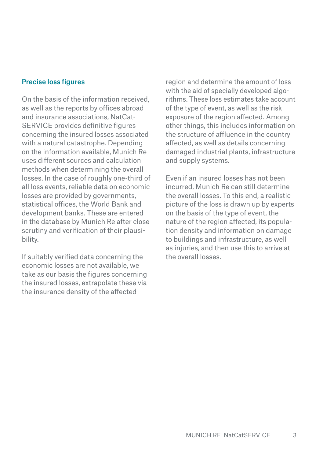#### Precise loss figures

On the basis of the information received, as well as the reports by offices abroad and insurance associations, NatCat-SERVICE provides definitive figures concerning the insured losses associated with a natural catastrophe. Depending on the information available, Munich Re uses different sources and calculation methods when determining the overall losses. In the case of roughly one-third of all loss events, reliable data on economic losses are provided by governments, statistical offices, the World Bank and development banks. These are entered in the database by Munich Re after close scrutiny and verification of their plausibility.

If suitably verified data concerning the economic losses are not available, we take as our basis the figures concerning the insured losses, extrapolate these via the insurance density of the affected

region and determine the amount of loss with the aid of specially developed algorithms. These loss estimates take account of the type of event, as well as the risk exposure of the region affected. Among other things, this includes information on the structure of affluence in the country affected, as well as details concerning damaged industrial plants, infrastructure and supply systems.

Even if an insured losses has not been incurred, Munich Re can still determine the overall losses. To this end, a realistic picture of the loss is drawn up by experts on the basis of the type of event, the nature of the region affected, its population density and information on damage to buildings and infrastructure, as well as injuries, and then use this to arrive at the overall losses.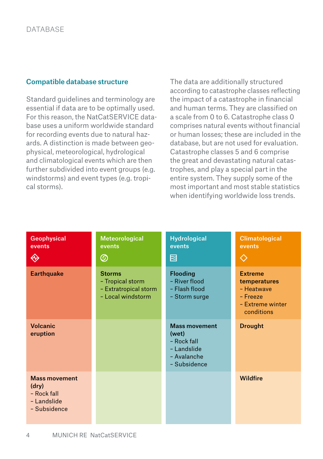#### Compatible database structure

Standard guidelines and terminology are essential if data are to be optimally used. For this reason, the NatCatSERVICE database uses a uniform worldwide standard for recording events due to natural hazards. A distinction is made between geophysical, meteorological, hydrological and climatological events which are then further subdivided into event groups (e.g. windstorms) and event types (e.g. tropical storms).

The data are additionally structured according to catastrophe classes reflecting the impact of a catastrophe in financial and human terms. They are classified on a scale from 0 to 6. Catastrophe class 0 comprises natural events without financial or human losses; these are included in the database, but are not used for evaluation. Catastrophe classes 5 and 6 comprise the great and devastating natural catastrophes, and play a special part in the entire system. They supply some of the most important and most stable statistics when identifying worldwide loss trends.

| Geophysical<br>events<br>◈                                                  | Meteorological<br>events<br>◎                                                   | <b>Hydrological</b><br>events<br>尼                                                         | <b>Climatological</b><br>events<br>◇                                                       |
|-----------------------------------------------------------------------------|---------------------------------------------------------------------------------|--------------------------------------------------------------------------------------------|--------------------------------------------------------------------------------------------|
| <b>Earthquake</b>                                                           | <b>Storms</b><br>- Tropical storm<br>- Extratropical storm<br>- Local windstorm | <b>Flooding</b><br>- River flood<br>- Flash flood<br>- Storm surge                         | <b>Extreme</b><br>temperatures<br>- Heatwave<br>- Freeze<br>- Extreme winter<br>conditions |
| <b>Volcanic</b><br>eruption                                                 |                                                                                 | <b>Mass movement</b><br>(wet)<br>- Rock fall<br>- Landslide<br>- Avalanche<br>- Subsidence | <b>Drought</b>                                                                             |
| <b>Mass movement</b><br>(dry)<br>- Rock fall<br>- Landslide<br>- Subsidence |                                                                                 |                                                                                            | <b>Wildfire</b>                                                                            |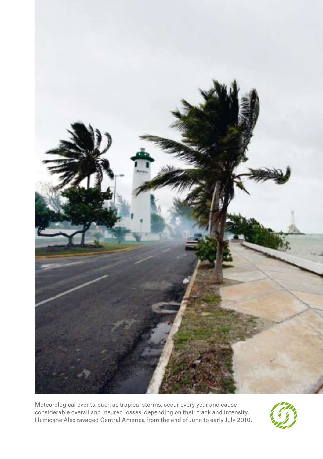

Meteorological events, such as tropical storms, occur every year and cause considerable overall and insured losses, depending on their track and intensity. Hurricane Alex ravaged Central America from the end of June to early July 2010.

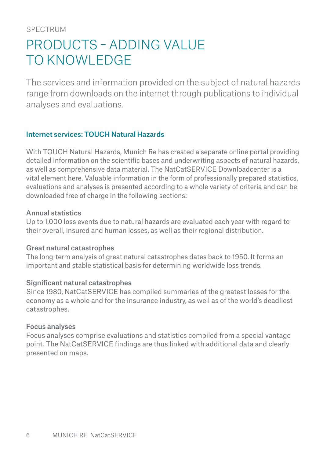## SPECTRUM

# Products – Adding value to knowledge

The services and information provided on the subject of natural hazards range from downloads on the internet through publications to individual analyses and evaluations.

### Internet services: TOUCH Natural Hazards

With TOUCH Natural Hazards, Munich Re has created a separate online portal providing detailed information on the scientific bases and underwriting aspects of natural hazards, as well as comprehensive data material. The NatCatSERVICE Downloadcenter is a vital element here. Valuable information in the form of professionally prepared statistics, evaluations and analyses is presented according to a whole variety of criteria and can be downloaded free of charge in the following sections:

#### Annual statistics

Up to 1,000 loss events due to natural hazards are evaluated each year with regard to their overall, insured and human losses, as well as their regional distribution.

### Great natural catastrophes

The long-term analysis of great natural catastrophes dates back to 1950. It forms an important and stable statistical basis for determining worldwide loss trends.

### Significant natural catastrophes

Since 1980, NatCatSERVICE has compiled summaries of the greatest losses for the economy as a whole and for the insurance industry, as well as of the world's deadliest catastrophes.

#### Focus analyses

Focus analyses comprise evaluations and statistics compiled from a special vantage point. The NatCatSERVICE findings are thus linked with additional data and clearly presented on maps.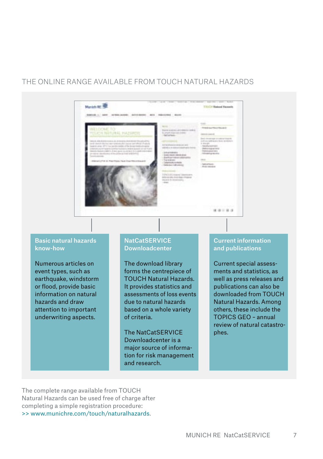# The online range available from TOUCH Natural Hazards



#### Basic natural hazards know-how

Numerous articles on event types, such as earthquake, windstorm or flood, provide basic information on natural hazards and draw attention to important underwriting aspects.

#### **NatCatSERVICE Downloadcenter**

The download library forms the centrepiece of TOUCH Natural Hazards. It provides statistics and assessments of loss events due to natural hazards based on a whole variety of criteria.

The NatCatSERVICE Downloadcenter is a major source of information for risk management and research.

#### Current information and publications

Current special assessments and statistics, as well as press releases and publications can also be downloaded from TOUCH Natural Hazards. Among others, these include the TOPICS GEO – annual review of natural catastrophes.

The complete range available from TOUCH Natural Hazards can be used free of charge after completing a simple registration procedure: >> www.munichre.com/touch/naturalhazards.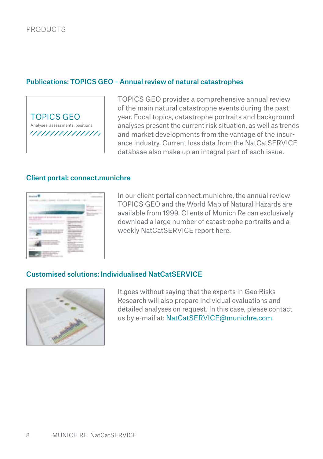#### Publications: TOPICS GEO – Annual review of natural catastrophes



TOPICS GEO provides a comprehensive annual review of the main natural catastrophe events during the past year. Focal topics, catastrophe portraits and background analyses present the current risk situation, as well as trends and market developments from the vantage of the insurance industry. Current loss data from the NatCatSERVICE database also make up an integral part of each issue.

#### Client portal: connect.munichre



In our client portal connect.munichre, the annual review TOPICS GEO and the World Map of Natural Hazards are available from 1999. Clients of Munich Re can exclusively download a large number of catastrophe portraits and a weekly NatCatSERVICE report here.

#### Customised solutions: Individualised NatCatSERVICE



It goes without saying that the experts in Geo Risks Research will also prepare individual evaluations and detailed analyses on request. In this case, please contact us by e-mail at: NatCatSERVICE@munichre.com.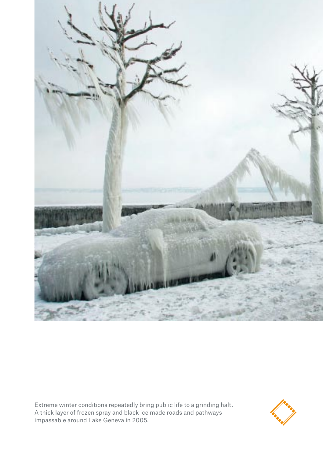

Extreme winter conditions repeatedly bring public life to a grinding halt. A thick layer of frozen spray and black ice made roads and pathways impassable around Lake Geneva in 2005.